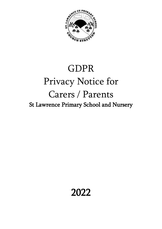

# GDPR Privacy Notice for Carers / Parents St Lawrence Primary School and Nursery

# 2022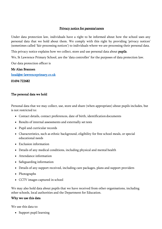#### Privacy notice for parents/carers

Under data protection law, individuals have a right to be informed about how the school uses any personal data that we hold about them. We comply with this right by providing 'privacy notices' (sometimes called 'fair processing notices') to individuals where we are processing their personal data.

This privacy notice explains how we collect, store and use personal data about pupils.

We, St Lawrence Primary School, are the 'data controller' for the purposes of data protection law.

Our data protection officer is

#### Mr Alan Brannen

[head@st-lawrenceprimary.co.uk](mailto:head@st-lawrenceprimary.co.uk) 

01694 722682

#### The personal data we hold

Personal data that we may collect, use, store and share (when appropriate) about pupils includes, but is not restricted to:

- Contact details, contact preferences, date of birth, identification documents
- Results of internal assessments and externally set tests
- Pupil and curricular records
- Characteristics, such as ethnic background, eligibility for free school meals, or special educational needs
- Exclusion information
- Details of any medical conditions, including physical and mental health
- Attendance information
- Safeguarding information
- Details of any support received, including care packages, plans and support providers
- Photographs
- CCTV images captured in school

We may also hold data about pupils that we have received from other organisations, including other schools, local authorities and the Department for Education.

#### Why we use this data

We use this data to:

• Support pupil learning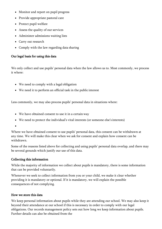- Monitor and report on pupil progress
- Provide appropriate pastoral care
- Protect pupil welfare
- Assess the quality of our services
- Administer admissions waiting lists
- Carry out research
- Comply with the law regarding data sharing

#### Our legal basis for using this data

We only collect and use pupils' personal data when the law allows us to. Most commonly, we process it where:

- We need to comply with a legal obligation
- We need it to perform an official task in the public interest

Less commonly, we may also process pupils' personal data in situations where:

- We have obtained consent to use it in a certain way
- We need to protect the individual's vital interests (or someone else's interests)

•

Where we have obtained consent to use pupils' personal data, this consent can be withdrawn at any time. We will make this clear when we ask for consent and explain how consent can be withdrawn.

Some of the reasons listed above for collecting and using pupils' personal data overlap, and there may be several grounds which justify our use of this data.

#### Collecting this information

While the majority of information we collect about pupils is mandatory, there is some information that can be provided voluntarily.

Whenever we seek to collect information from you or your child, we make it clear whether providing it is mandatory or optional. If it is mandatory, we will explain the possible consequences of not complying.

#### How we store this data

We keep personal information about pupils while they are attending our school. We may also keep it beyond their attendance at our school if this is necessary in order to comply with our legal obligations. Our records management policy sets out how long we keep information about pupils. Further details can also be obtained from the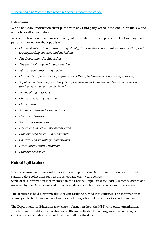### Data sharing

We do not share information about pupils with any third party without consent unless the law and our policies allow us to do so.

Where it is legally required, or necessary (and it complies with data protection law) we may share personal information about pupils with:

- Our local authority to meet our legal obligations to share certain information with it, such as safeguarding concerns and exclusions
- The Department for Education
- The pupil's family and representatives
- Educators and examining bodies
- Our regulator [specify as appropriate, e.g. Ofsted, Independent Schools Inspectorate]
- Suppliers and service providers (sQuid, Parentmail etc) to enable them to provide the service we have contracted them for
- Financial organisations
- Central and local government
- Our auditors
- Survey and research organisations
- Health authorities
- Security organisations
- Health and social welfare organisations
- Professional advisers and consultants
- Charities and voluntary organisations
- Police forces, courts, tribunals
- Professional bodies

#### National Pupil Database

We are required to provide information about pupils to the Department for Education as part of statutory data collections such as the school and early years census.

Some of this information is then stored in the [National Pupil Database \(](https://www.gov.uk/government/publications/national-pupil-database-user-guide-and-supporting-information)NPD), which is owned and managed by the Department and provides evidence on school performance to inform research.

The database is held electronically so it can easily be turned into statistics. The information is securely collected from a range of sources including schools, local authorities and exam boards.

The Department for Education may share information from the NPD with other organisations which promote children's education or wellbeing in England. Such organisations must agree to strict terms and conditions about how they will use the data.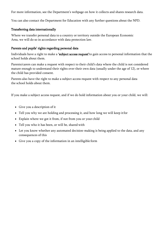For more information, see the Department's webpage on [how it collects and shares](https://www.gov.uk/data-protection-how-we-collect-and-share-research-data) [research data.](https://www.gov.uk/data-protection-how-we-collect-and-share-research-data)

You can also [contact the Department for Education w](https://www.gov.uk/contact-dfe)ith any further questions about the NPD.

#### Transferring data internationally

Where we transfer personal data to a country or territory outside the European Economic Area, we will do so in accordance with data protection law.

# Parents and pupils' rights regarding personal data

Individuals have a right to make a 'subject access request' to gain access to personal information that the school holds about them.

Parents/carers can make a request with respect to their child's data where the child is not considered mature enough to understand their rights over their own data (usually under the age of 12), or where the child has provided consent.

Parents also have the right to make a subject access request with respect to any personal data the school holds about them.

If you make a subject access request, and if we do hold information about you or your child, we will:

- Give you a description of it
- Tell you why we are holding and processing it, and how long we will keep itfor
- Explain where we got it from, if not from you or your child
- Tell you who it has been, or will be, shared with
- Let you know whether any automated decision-making is being applied to the data, and any consequences of this
- Give you a copy of the information in an intelligible form